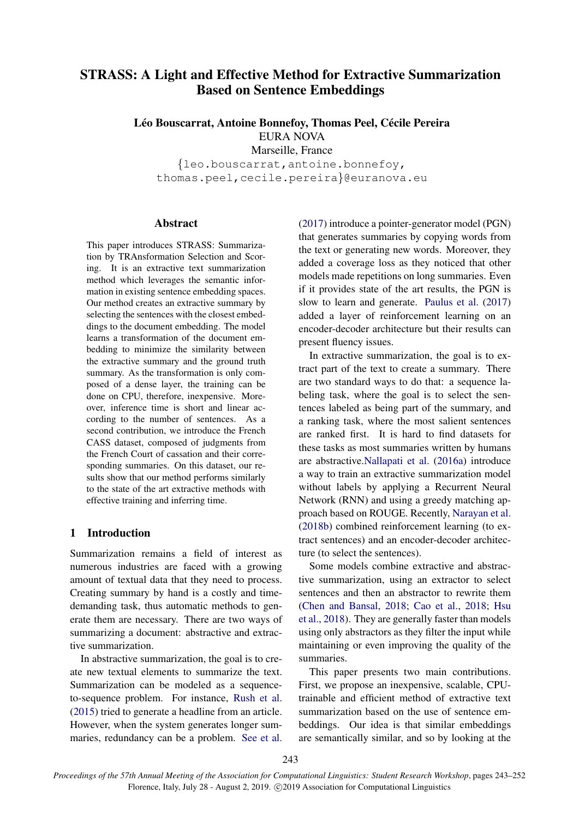# STRASS: A Light and Effective Method for Extractive Summarization Based on Sentence Embeddings

Léo Bouscarrat, Antoine Bonnefoy, Thomas Peel, Cécile Pereira EURA NOVA Marseille, France

{leo.bouscarrat,antoine.bonnefoy, thomas.peel,cecile.pereira}@euranova.eu

# Abstract

This paper introduces STRASS: Summarization by TRAnsformation Selection and Scoring. It is an extractive text summarization method which leverages the semantic information in existing sentence embedding spaces. Our method creates an extractive summary by selecting the sentences with the closest embeddings to the document embedding. The model learns a transformation of the document embedding to minimize the similarity between the extractive summary and the ground truth summary. As the transformation is only composed of a dense layer, the training can be done on CPU, therefore, inexpensive. Moreover, inference time is short and linear according to the number of sentences. As a second contribution, we introduce the French CASS dataset, composed of judgments from the French Court of cassation and their corresponding summaries. On this dataset, our results show that our method performs similarly to the state of the art extractive methods with effective training and inferring time.

# 1 Introduction

Summarization remains a field of interest as numerous industries are faced with a growing amount of textual data that they need to process. Creating summary by hand is a costly and timedemanding task, thus automatic methods to generate them are necessary. There are two ways of summarizing a document: abstractive and extractive summarization.

In abstractive summarization, the goal is to create new textual elements to summarize the text. Summarization can be modeled as a sequenceto-sequence problem. For instance, [Rush et al.](#page-6-0) [\(2015\)](#page-6-0) tried to generate a headline from an article. However, when the system generates longer summaries, redundancy can be a problem. [See et al.](#page-6-1)

[\(2017\)](#page-6-1) introduce a pointer-generator model (PGN) that generates summaries by copying words from the text or generating new words. Moreover, they added a coverage loss as they noticed that other models made repetitions on long summaries. Even if it provides state of the art results, the PGN is slow to learn and generate. [Paulus et al.](#page-6-2) [\(2017\)](#page-6-2) added a layer of reinforcement learning on an encoder-decoder architecture but their results can present fluency issues.

In extractive summarization, the goal is to extract part of the text to create a summary. There are two standard ways to do that: a sequence labeling task, where the goal is to select the sentences labeled as being part of the summary, and a ranking task, where the most salient sentences are ranked first. It is hard to find datasets for these tasks as most summaries written by humans are abstractive[.Nallapati et al.](#page-6-3) [\(2016a\)](#page-6-3) introduce a way to train an extractive summarization model without labels by applying a Recurrent Neural Network (RNN) and using a greedy matching approach based on ROUGE. Recently, [Narayan et al.](#page-6-4) [\(2018b\)](#page-6-4) combined reinforcement learning (to extract sentences) and an encoder-decoder architecture (to select the sentences).

Some models combine extractive and abstractive summarization, using an extractor to select sentences and then an abstractor to rewrite them [\(Chen and Bansal,](#page-5-0) [2018;](#page-5-0) [Cao et al.,](#page-5-1) [2018;](#page-5-1) [Hsu](#page-5-2) [et al.,](#page-5-2) [2018\)](#page-5-2). They are generally faster than models using only abstractors as they filter the input while maintaining or even improving the quality of the summaries.

This paper presents two main contributions. First, we propose an inexpensive, scalable, CPUtrainable and efficient method of extractive text summarization based on the use of sentence embeddings. Our idea is that similar embeddings are semantically similar, and so by looking at the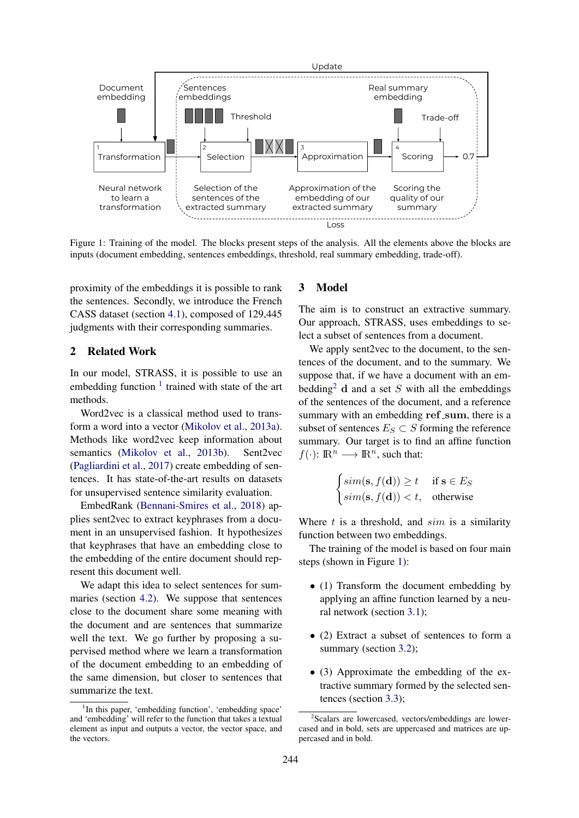<span id="page-1-2"></span>

Figure 1: Training of the model. The blocks present steps of the analysis. All the elements above the blocks are inputs (document embedding, sentences embeddings, threshold, real summary embedding, trade-off).

proximity of the embeddings it is possible to rank the sentences. Secondly, we introduce the French CASS dataset (section [4.1\)](#page-3-0), composed of 129,445 judgments with their corresponding summaries.

# 2 Related Work

In our model, STRASS, it is possible to use an embedding function  $1$  trained with state of the art methods.

Word2vec is a classical method used to transform a word into a vector [\(Mikolov et al.,](#page-6-5) [2013a\)](#page-6-5). Methods like word2vec keep information about semantics [\(Mikolov et al.,](#page-6-6) [2013b\)](#page-6-6). Sent2vec [\(Pagliardini et al.,](#page-6-7) [2017\)](#page-6-7) create embedding of sentences. It has state-of-the-art results on datasets for unsupervised sentence similarity evaluation.

EmbedRank [\(Bennani-Smires et al.,](#page-5-3) [2018\)](#page-5-3) applies sent2vec to extract keyphrases from a document in an unsupervised fashion. It hypothesizes that keyphrases that have an embedding close to the embedding of the entire document should represent this document well.

We adapt this idea to select sentences for summaries (section [4.2\)](#page-3-1). We suppose that sentences close to the document share some meaning with the document and are sentences that summarize well the text. We go further by proposing a supervised method where we learn a transformation of the document embedding to an embedding of the same dimension, but closer to sentences that summarize the text.

# 3 Model

The aim is to construct an extractive summary. Our approach, STRASS, uses embeddings to select a subset of sentences from a document.

We apply sent2vec to the document, to the sentences of the document, and to the summary. We suppose that, if we have a document with an em-bedding<sup>[2](#page-1-1)</sup> d and a set S with all the embeddings of the sentences of the document, and a reference summary with an embedding ref\_sum, there is a subset of sentences  $E_S \subset S$  forming the reference summary. Our target is to find an affine function  $f(\cdot): \mathbb{R}^n \longrightarrow \mathbb{R}^n$ , such that:

$$
\begin{cases} \nsim(\mathbf{s}, f(\mathbf{d})) \ge t & \text{if } \mathbf{s} \in E_S \\ \nsim(\mathbf{s}, f(\mathbf{d})) < t, & \text{otherwise} \end{cases}
$$

Where  $t$  is a threshold, and  $sim$  is a similarity function between two embeddings.

The training of the model is based on four main steps (shown in Figure [1\)](#page-1-2):

- (1) Transform the document embedding by applying an affine function learned by a neural network (section [3.1\)](#page-2-0);
- (2) Extract a subset of sentences to form a summary (section [3.2\)](#page-2-1);
- (3) Approximate the embedding of the extractive summary formed by the selected sentences (section [3.3\)](#page-2-2);

<span id="page-1-0"></span><sup>&</sup>lt;sup>1</sup>In this paper, 'embedding function', 'embedding space' and 'embedding' will refer to the function that takes a textual element as input and outputs a vector, the vector space, and the vectors.

<span id="page-1-1"></span><sup>2</sup> Scalars are lowercased, vectors/embeddings are lowercased and in bold, sets are uppercased and matrices are uppercased and in bold.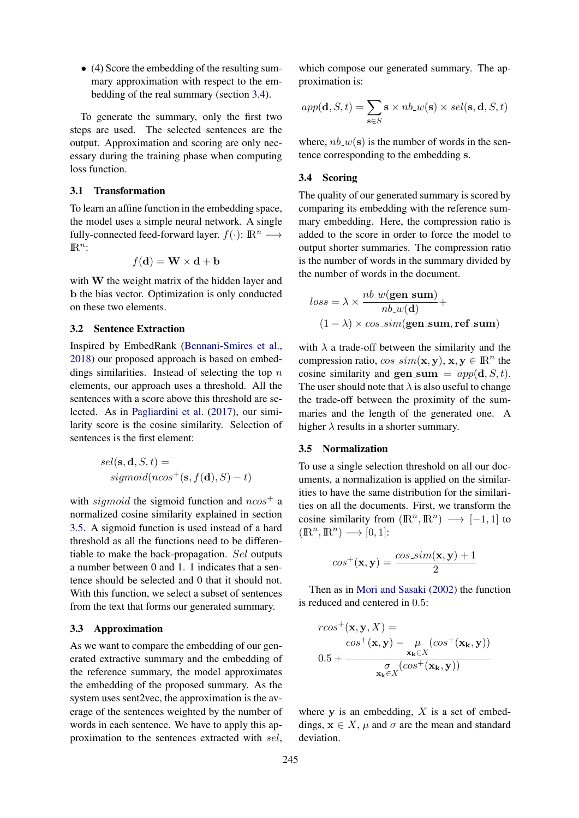• (4) Score the embedding of the resulting summary approximation with respect to the embedding of the real summary (section [3.4\)](#page-2-3).

To generate the summary, only the first two steps are used. The selected sentences are the output. Approximation and scoring are only necessary during the training phase when computing loss function.

## <span id="page-2-0"></span>3.1 Transformation

To learn an affine function in the embedding space, the model uses a simple neural network. A single fully-connected feed-forward layer.  $f(\cdot)$ :  $\mathbb{R}^n \longrightarrow$  $\mathbb{R}^n$ :

$$
f(\mathbf{d}) = \mathbf{W} \times \mathbf{d} + \mathbf{b}
$$

with W the weight matrix of the hidden layer and b the bias vector. Optimization is only conducted on these two elements.

# <span id="page-2-1"></span>3.2 Sentence Extraction

Inspired by EmbedRank [\(Bennani-Smires et al.,](#page-5-3) [2018\)](#page-5-3) our proposed approach is based on embeddings similarities. Instead of selecting the top  $n$ elements, our approach uses a threshold. All the sentences with a score above this threshold are selected. As in [Pagliardini et al.](#page-6-7) [\(2017\)](#page-6-7), our similarity score is the cosine similarity. Selection of sentences is the first element:

$$
sel(s, \mathbf{d}, S, t) =
$$
  
sigmoid(ncos<sup>+</sup>(**s**, f(**d**), S) – t)

with sigmoid the sigmoid function and  $n\cos^+$  a normalized cosine similarity explained in section [3.5.](#page-2-4) A sigmoid function is used instead of a hard threshold as all the functions need to be differentiable to make the back-propagation. Sel outputs a number between 0 and 1. 1 indicates that a sentence should be selected and 0 that it should not. With this function, we select a subset of sentences from the text that forms our generated summary.

### <span id="page-2-2"></span>3.3 Approximation

As we want to compare the embedding of our generated extractive summary and the embedding of the reference summary, the model approximates the embedding of the proposed summary. As the system uses sent2vec, the approximation is the average of the sentences weighted by the number of words in each sentence. We have to apply this approximation to the sentences extracted with sel,

which compose our generated summary. The approximation is:

$$
app(\mathbf{d}, S, t) = \sum_{\mathbf{s} \in S} \mathbf{s} \times nb_w(\mathbf{s}) \times sel(\mathbf{s}, \mathbf{d}, S, t)
$$

where,  $nb_w(s)$  is the number of words in the sentence corresponding to the embedding s.

## <span id="page-2-3"></span>3.4 Scoring

The quality of our generated summary is scored by comparing its embedding with the reference summary embedding. Here, the compression ratio is added to the score in order to force the model to output shorter summaries. The compression ratio is the number of words in the summary divided by the number of words in the document.

$$
loss = \lambda \times \frac{nb_w(\text{gen.sum})}{nb_w(\text{d})} +
$$

$$
(1 - \lambda) \times \cos\text{sim}(\text{gen-sum}, \text{ref-sum})
$$

with  $\lambda$  a trade-off between the similarity and the compression ratio,  $cos\_sim(\mathbf{x}, \mathbf{y}), \mathbf{x}, \mathbf{y} \in \mathbb{R}^n$  the cosine similarity and gen\_sum =  $app(\mathbf{d}, S, t)$ . The user should note that  $\lambda$  is also useful to change the trade-off between the proximity of the summaries and the length of the generated one. A higher  $\lambda$  results in a shorter summary.

#### <span id="page-2-4"></span>3.5 Normalization

To use a single selection threshold on all our documents, a normalization is applied on the similarities to have the same distribution for the similarities on all the documents. First, we transform the cosine similarity from  $(\mathbb{R}^n, \mathbb{R}^n) \longrightarrow [-1, 1]$  to  $(\mathbb{R}^n, \mathbb{R}^n) \longrightarrow [0, 1]$ :

$$
cos^{+}(\mathbf{x}, \mathbf{y}) = \frac{cos\sin(\mathbf{x}, \mathbf{y}) + 1}{2}
$$

Then as in [Mori and Sasaki](#page-6-8) [\(2002\)](#page-6-8) the function is reduced and centered in 0.5:

$$
r\cos^{+}(\mathbf{x}, \mathbf{y}, X) =
$$
  
\n
$$
\cos^{+}(\mathbf{x}, \mathbf{y}) - \mu \left(\cos^{+}(\mathbf{x}_{k}, \mathbf{y})\right)
$$
  
\n
$$
0.5 + \frac{\sigma}{\sigma_{\mathbf{x}_{k} \in X}(\cos^{+}(\mathbf{x}_{k}, \mathbf{y}))}
$$

where  $y$  is an embedding,  $X$  is a set of embeddings,  $x \in X$ ,  $\mu$  and  $\sigma$  are the mean and standard deviation.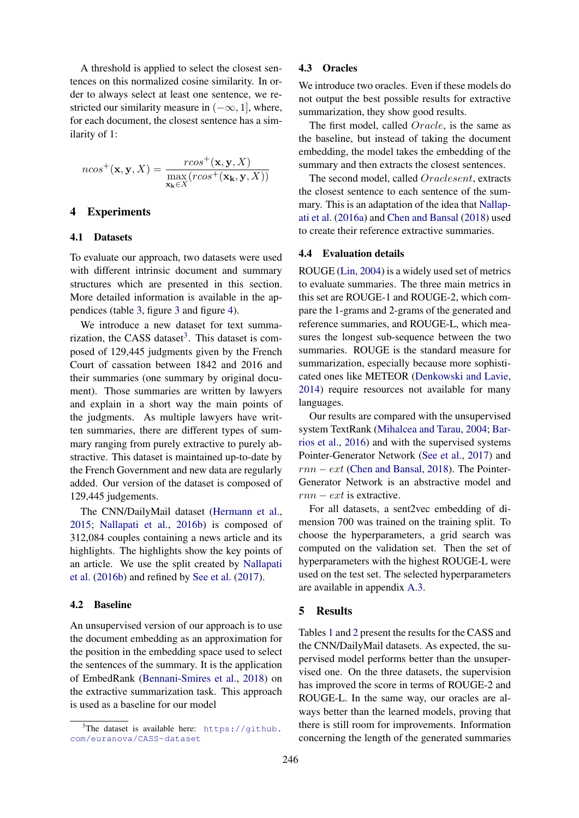A threshold is applied to select the closest sentences on this normalized cosine similarity. In order to always select at least one sentence, we restricted our similarity measure in  $(-\infty, 1]$ , where, for each document, the closest sentence has a similarity of 1:

$$
ncos^{+}(\mathbf{x}, \mathbf{y}, X) = \frac{rcos^{+}(\mathbf{x}, \mathbf{y}, X)}{\max_{\mathbf{x}_{\mathbf{k}} \in X} (rcos^{+}(\mathbf{x}_{\mathbf{k}}, \mathbf{y}, X))}
$$

# 4 Experiments

## <span id="page-3-0"></span>4.1 Datasets

To evaluate our approach, two datasets were used with different intrinsic document and summary structures which are presented in this section. More detailed information is available in the appendices (table [3,](#page-7-0) figure [3](#page-8-0) and figure [4\)](#page-9-0).

We introduce a new dataset for text summa-rization, the CASS dataset<sup>[3](#page-3-2)</sup>. This dataset is composed of 129,445 judgments given by the French Court of cassation between 1842 and 2016 and their summaries (one summary by original document). Those summaries are written by lawyers and explain in a short way the main points of the judgments. As multiple lawyers have written summaries, there are different types of summary ranging from purely extractive to purely abstractive. This dataset is maintained up-to-date by the French Government and new data are regularly added. Our version of the dataset is composed of 129,445 judgements.

The CNN/DailyMail dataset [\(Hermann et al.,](#page-5-4) [2015;](#page-5-4) [Nallapati et al.,](#page-6-9) [2016b\)](#page-6-9) is composed of 312,084 couples containing a news article and its highlights. The highlights show the key points of an article. We use the split created by [Nallapati](#page-6-9) [et al.](#page-6-9) [\(2016b\)](#page-6-9) and refined by [See et al.](#page-6-1) [\(2017\)](#page-6-1).

## <span id="page-3-1"></span>4.2 Baseline

An unsupervised version of our approach is to use the document embedding as an approximation for the position in the embedding space used to select the sentences of the summary. It is the application of EmbedRank [\(Bennani-Smires et al.,](#page-5-3) [2018\)](#page-5-3) on the extractive summarization task. This approach is used as a baseline for our model

# 4.3 Oracles

We introduce two oracles. Even if these models do not output the best possible results for extractive summarization, they show good results.

The first model, called Oracle, is the same as the baseline, but instead of taking the document embedding, the model takes the embedding of the summary and then extracts the closest sentences.

The second model, called Oraclesent, extracts the closest sentence to each sentence of the summary. This is an adaptation of the idea that [Nallap](#page-6-3)[ati et al.](#page-6-3) [\(2016a\)](#page-6-3) and [Chen and Bansal](#page-5-0) [\(2018\)](#page-5-0) used to create their reference extractive summaries.

## 4.4 Evaluation details

ROUGE [\(Lin,](#page-5-5) [2004\)](#page-5-5) is a widely used set of metrics to evaluate summaries. The three main metrics in this set are ROUGE-1 and ROUGE-2, which compare the 1-grams and 2-grams of the generated and reference summaries, and ROUGE-L, which measures the longest sub-sequence between the two summaries. ROUGE is the standard measure for summarization, especially because more sophisticated ones like METEOR [\(Denkowski and Lavie,](#page-5-6) [2014\)](#page-5-6) require resources not available for many languages.

Our results are compared with the unsupervised system TextRank [\(Mihalcea and Tarau,](#page-5-7) [2004;](#page-5-7) [Bar](#page-5-8)[rios et al.,](#page-5-8) [2016\)](#page-5-8) and with the supervised systems Pointer-Generator Network [\(See et al.,](#page-6-1) [2017\)](#page-6-1) and  $rnn - ext$  [\(Chen and Bansal,](#page-5-0) [2018\)](#page-5-0). The Pointer-Generator Network is an abstractive model and  $rnn - ext$  is extractive.

For all datasets, a sent2vec embedding of dimension 700 was trained on the training split. To choose the hyperparameters, a grid search was computed on the validation set. Then the set of hyperparameters with the highest ROUGE-L were used on the test set. The selected hyperparameters are available in appendix [A.3.](#page-6-10)

# 5 Results

Tables [1](#page-4-0) and [2](#page-4-1) present the results for the CASS and the CNN/DailyMail datasets. As expected, the supervised model performs better than the unsupervised one. On the three datasets, the supervision has improved the score in terms of ROUGE-2 and ROUGE-L. In the same way, our oracles are always better than the learned models, proving that there is still room for improvements. Information concerning the length of the generated summaries

<span id="page-3-2"></span> $3$ The dataset is available here: [https://github.](https://github.com/euranova/CASS-dataset) [com/euranova/CASS-dataset](https://github.com/euranova/CASS-dataset)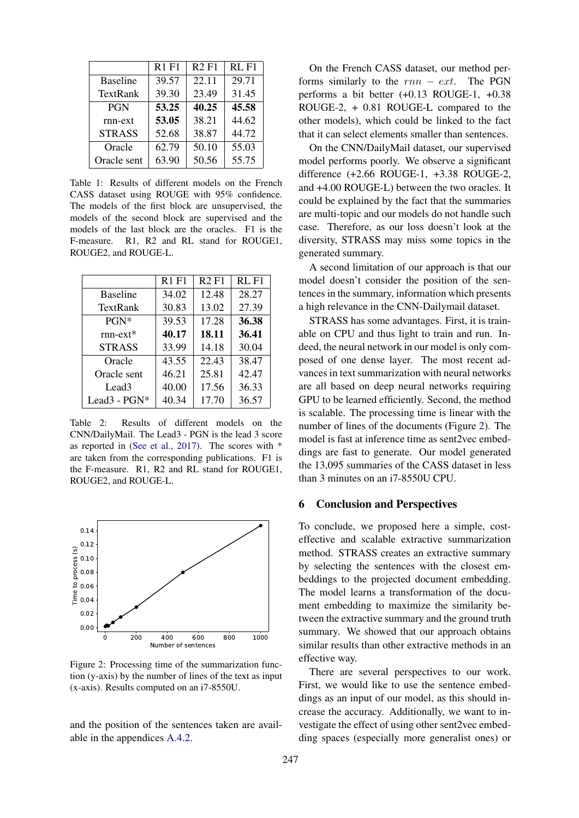<span id="page-4-0"></span>

|                 | R <sub>1</sub> F <sub>1</sub> | R2F1  | RL <sub>F1</sub> |
|-----------------|-------------------------------|-------|------------------|
| <b>Baseline</b> | 39.57                         | 22.11 | 29.71            |
| TextRank        | 39.30                         | 23.49 | 31.45            |
| <b>PGN</b>      | 53.25                         | 40.25 | 45.58            |
| rnn-ext         | 53.05                         | 38.21 | 44.62            |
| <b>STRASS</b>   | 52.68                         | 38.87 | 44.72            |
| Oracle          | 62.79                         | 50.10 | 55.03            |
| Oracle sent     | 63.90                         | 50.56 | 55.75            |

Table 1: Results of different models on the French CASS dataset using ROUGE with 95% confidence. The models of the first block are unsupervised, the models of the second block are supervised and the models of the last block are the oracles. F1 is the F-measure. R1, R2 and RL stand for ROUGE1, ROUGE2, and ROUGE-L.

<span id="page-4-1"></span>

|                          | R <sub>1</sub> F <sub>1</sub> | <b>R2F1</b> | RL <sub>F1</sub> |
|--------------------------|-------------------------------|-------------|------------------|
| <b>Baseline</b>          | 34.02                         | 12.48       | 28.27            |
| TextRank                 | 30.83                         | 13.02       | 27.39            |
| PGN*                     | 39.53                         | 17.28       | 36.38            |
| $rnn-ext*$               | 40.17                         | 18.11       | 36.41            |
| <b>STRASS</b>            | 33.99                         | 14.18       | 30.04            |
| Oracle                   | 43.55                         | 22.43       | 38.47            |
| Oracle sent              | 46.21                         | 25.81       | 42.47            |
| Lead <sub>3</sub>        | 40.00                         | 17.56       | 36.33            |
| Lead <sub>3</sub> - PGN* | 40.34                         | 17.70       | 36.57            |

Table 2: Results of different models on the CNN/DailyMail. The Lead3 - PGN is the lead 3 score as reported in [\(See et al.,](#page-6-1) [2017\)](#page-6-1). The scores with \* are taken from the corresponding publications. F1 is the F-measure. R1, R2 and RL stand for ROUGE1, ROUGE2, and ROUGE-L.

<span id="page-4-2"></span>

Figure 2: Processing time of the summarization function (y-axis) by the number of lines of the text as input (x-axis). Results computed on an i7-8550U.

and the position of the sentences taken are available in the appendices [A.4.2.](#page-8-1)

On the French CASS dataset, our method performs similarly to the  $rnn - ext$ . The PGN performs a bit better (+0.13 ROUGE-1, +0.38 ROUGE-2, + 0.81 ROUGE-L compared to the other models), which could be linked to the fact that it can select elements smaller than sentences.

On the CNN/DailyMail dataset, our supervised model performs poorly. We observe a significant difference (+2.66 ROUGE-1, +3.38 ROUGE-2, and +4.00 ROUGE-L) between the two oracles. It could be explained by the fact that the summaries are multi-topic and our models do not handle such case. Therefore, as our loss doesn't look at the diversity, STRASS may miss some topics in the generated summary.

A second limitation of our approach is that our model doesn't consider the position of the sentences in the summary, information which presents a high relevance in the CNN-Dailymail dataset.

STRASS has some advantages. First, it is trainable on CPU and thus light to train and run. Indeed, the neural network in our model is only composed of one dense layer. The most recent advances in text summarization with neural networks are all based on deep neural networks requiring GPU to be learned efficiently. Second, the method is scalable. The processing time is linear with the number of lines of the documents (Figure [2\)](#page-4-2). The model is fast at inference time as sent2vec embeddings are fast to generate. Our model generated the 13,095 summaries of the CASS dataset in less than 3 minutes on an i7-8550U CPU.

# 6 Conclusion and Perspectives

To conclude, we proposed here a simple, costeffective and scalable extractive summarization method. STRASS creates an extractive summary by selecting the sentences with the closest embeddings to the projected document embedding. The model learns a transformation of the document embedding to maximize the similarity between the extractive summary and the ground truth summary. We showed that our approach obtains similar results than other extractive methods in an effective way.

There are several perspectives to our work. First, we would like to use the sentence embeddings as an input of our model, as this should increase the accuracy. Additionally, we want to investigate the effect of using other sent2vec embedding spaces (especially more generalist ones) or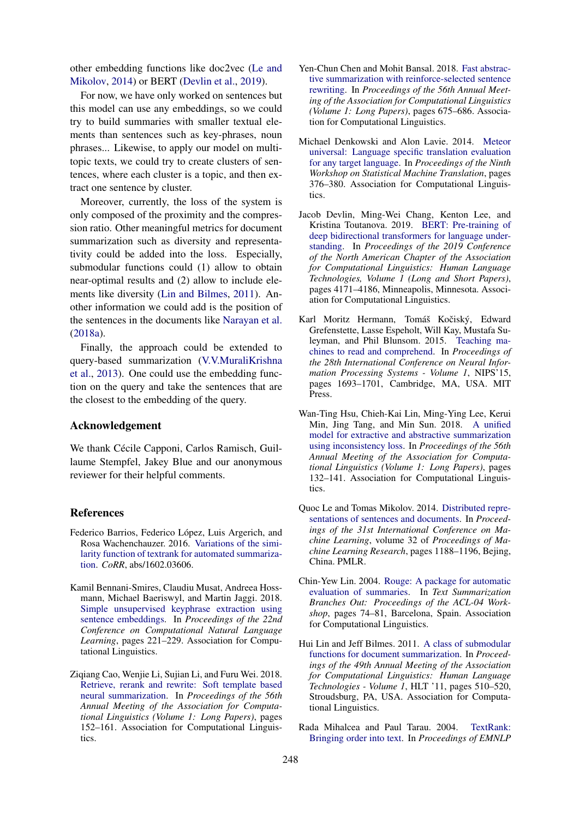other embedding functions like doc2vec [\(Le and](#page-5-9) [Mikolov,](#page-5-9) [2014\)](#page-5-9) or BERT [\(Devlin et al.,](#page-5-10) [2019\)](#page-5-10).

For now, we have only worked on sentences but this model can use any embeddings, so we could try to build summaries with smaller textual elements than sentences such as key-phrases, noun phrases... Likewise, to apply our model on multitopic texts, we could try to create clusters of sentences, where each cluster is a topic, and then extract one sentence by cluster.

Moreover, currently, the loss of the system is only composed of the proximity and the compression ratio. Other meaningful metrics for document summarization such as diversity and representativity could be added into the loss. Especially, submodular functions could (1) allow to obtain near-optimal results and (2) allow to include elements like diversity [\(Lin and Bilmes,](#page-5-11) [2011\)](#page-5-11). Another information we could add is the position of the sentences in the documents like [Narayan et al.](#page-6-11) [\(2018a\)](#page-6-11).

Finally, the approach could be extended to query-based summarization [\(V.V.MuraliKrishna](#page-6-12) [et al.,](#page-6-12) [2013\)](#page-6-12). One could use the embedding function on the query and take the sentences that are the closest to the embedding of the query.

# Acknowledgement

We thank Cécile Capponi, Carlos Ramisch, Guillaume Stempfel, Jakey Blue and our anonymous reviewer for their helpful comments.

## References

- <span id="page-5-8"></span>Federico Barrios, Federico López, Luis Argerich, and Rosa Wachenchauzer. 2016. [Variations of the simi](http://arxiv.org/abs/1602.03606)[larity function of textrank for automated summariza](http://arxiv.org/abs/1602.03606)[tion.](http://arxiv.org/abs/1602.03606) *CoRR*, abs/1602.03606.
- <span id="page-5-3"></span>Kamil Bennani-Smires, Claudiu Musat, Andreea Hossmann, Michael Baeriswyl, and Martin Jaggi. 2018. [Simple unsupervised keyphrase extraction using](http://aclweb.org/anthology/K18-1022) [sentence embeddings.](http://aclweb.org/anthology/K18-1022) In *Proceedings of the 22nd Conference on Computational Natural Language Learning*, pages 221–229. Association for Computational Linguistics.
- <span id="page-5-1"></span>Ziqiang Cao, Wenjie Li, Sujian Li, and Furu Wei. 2018. [Retrieve, rerank and rewrite: Soft template based](http://aclweb.org/anthology/P18-1015) [neural summarization.](http://aclweb.org/anthology/P18-1015) In *Proceedings of the 56th Annual Meeting of the Association for Computational Linguistics (Volume 1: Long Papers)*, pages 152–161. Association for Computational Linguistics.
- <span id="page-5-0"></span>Yen-Chun Chen and Mohit Bansal. 2018. [Fast abstrac](http://aclweb.org/anthology/P18-1063)[tive summarization with reinforce-selected sentence](http://aclweb.org/anthology/P18-1063) [rewriting.](http://aclweb.org/anthology/P18-1063) In *Proceedings of the 56th Annual Meeting of the Association for Computational Linguistics (Volume 1: Long Papers)*, pages 675–686. Association for Computational Linguistics.
- <span id="page-5-6"></span>Michael Denkowski and Alon Lavie. 2014. [Meteor](https://doi.org/10.3115/v1/W14-3348) [universal: Language specific translation evaluation](https://doi.org/10.3115/v1/W14-3348) [for any target language.](https://doi.org/10.3115/v1/W14-3348) In *Proceedings of the Ninth Workshop on Statistical Machine Translation*, pages 376–380. Association for Computational Linguistics.
- <span id="page-5-10"></span>Jacob Devlin, Ming-Wei Chang, Kenton Lee, and Kristina Toutanova. 2019. [BERT: Pre-training of](https://www.aclweb.org/anthology/N19-1423) [deep bidirectional transformers for language under](https://www.aclweb.org/anthology/N19-1423)[standing.](https://www.aclweb.org/anthology/N19-1423) In *Proceedings of the 2019 Conference of the North American Chapter of the Association for Computational Linguistics: Human Language Technologies, Volume 1 (Long and Short Papers)*, pages 4171–4186, Minneapolis, Minnesota. Association for Computational Linguistics.
- <span id="page-5-4"></span>Karl Moritz Hermann, Tomáš Kočiský, Edward Grefenstette, Lasse Espeholt, Will Kay, Mustafa Suleyman, and Phil Blunsom. 2015. [Teaching ma](http://dl.acm.org/citation.cfm?id=2969239.2969428)[chines to read and comprehend.](http://dl.acm.org/citation.cfm?id=2969239.2969428) In *Proceedings of the 28th International Conference on Neural Information Processing Systems - Volume 1*, NIPS'15, pages 1693–1701, Cambridge, MA, USA. MIT Press.
- <span id="page-5-2"></span>Wan-Ting Hsu, Chieh-Kai Lin, Ming-Ying Lee, Kerui Min, Jing Tang, and Min Sun. 2018. [A unified](http://aclweb.org/anthology/P18-1013) [model for extractive and abstractive summarization](http://aclweb.org/anthology/P18-1013) [using inconsistency loss.](http://aclweb.org/anthology/P18-1013) In *Proceedings of the 56th Annual Meeting of the Association for Computational Linguistics (Volume 1: Long Papers)*, pages 132–141. Association for Computational Linguistics.
- <span id="page-5-9"></span>Quoc Le and Tomas Mikolov. 2014. [Distributed repre](http://proceedings.mlr.press/v32/le14.html)[sentations of sentences and documents.](http://proceedings.mlr.press/v32/le14.html) In *Proceedings of the 31st International Conference on Machine Learning*, volume 32 of *Proceedings of Machine Learning Research*, pages 1188–1196, Bejing, China. PMLR.
- <span id="page-5-5"></span>Chin-Yew Lin. 2004. [Rouge: A package for automatic](https://www.aclweb.org/anthology/W04-1013) [evaluation of summaries.](https://www.aclweb.org/anthology/W04-1013) In *Text Summarization Branches Out: Proceedings of the ACL-04 Workshop*, pages 74–81, Barcelona, Spain. Association for Computational Linguistics.
- <span id="page-5-11"></span>Hui Lin and Jeff Bilmes. 2011. [A class of submodular](http://dl.acm.org/citation.cfm?id=2002472.2002537) [functions for document summarization.](http://dl.acm.org/citation.cfm?id=2002472.2002537) In *Proceedings of the 49th Annual Meeting of the Association for Computational Linguistics: Human Language Technologies - Volume 1*, HLT '11, pages 510–520, Stroudsburg, PA, USA. Association for Computational Linguistics.
- <span id="page-5-7"></span>Rada Mihalcea and Paul Tarau. 2004. [TextRank:](https://www.aclweb.org/anthology/W04-3252) [Bringing order into text.](https://www.aclweb.org/anthology/W04-3252) In *Proceedings of EMNLP*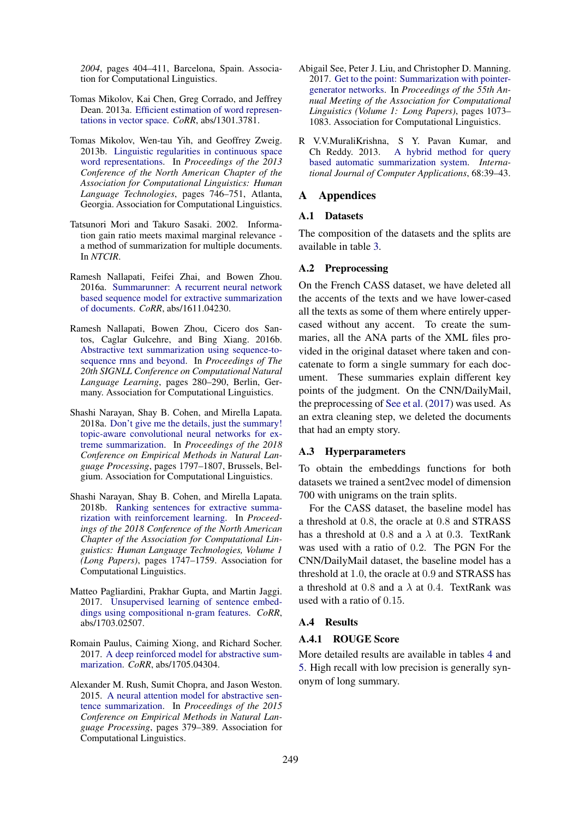*2004*, pages 404–411, Barcelona, Spain. Association for Computational Linguistics.

- <span id="page-6-5"></span>Tomas Mikolov, Kai Chen, Greg Corrado, and Jeffrey Dean. 2013a. [Efficient estimation of word represen](http://arxiv.org/abs/1301.3781)[tations in vector space.](http://arxiv.org/abs/1301.3781) *CoRR*, abs/1301.3781.
- <span id="page-6-6"></span>Tomas Mikolov, Wen-tau Yih, and Geoffrey Zweig. 2013b. [Linguistic regularities in continuous space](https://www.aclweb.org/anthology/N13-1090) [word representations.](https://www.aclweb.org/anthology/N13-1090) In *Proceedings of the 2013 Conference of the North American Chapter of the Association for Computational Linguistics: Human Language Technologies*, pages 746–751, Atlanta, Georgia. Association for Computational Linguistics.
- <span id="page-6-8"></span>Tatsunori Mori and Takuro Sasaki. 2002. Information gain ratio meets maximal marginal relevance a method of summarization for multiple documents. In *NTCIR*.
- <span id="page-6-3"></span>Ramesh Nallapati, Feifei Zhai, and Bowen Zhou. 2016a. [Summarunner: A recurrent neural network](http://arxiv.org/abs/1611.04230) [based sequence model for extractive summarization](http://arxiv.org/abs/1611.04230) [of documents.](http://arxiv.org/abs/1611.04230) *CoRR*, abs/1611.04230.
- <span id="page-6-9"></span>Ramesh Nallapati, Bowen Zhou, Cicero dos Santos, Caglar Gulcehre, and Bing Xiang. 2016b. [Abstractive text summarization using sequence-to](https://doi.org/10.18653/v1/K16-1028)[sequence rnns and beyond.](https://doi.org/10.18653/v1/K16-1028) In *Proceedings of The 20th SIGNLL Conference on Computational Natural Language Learning*, pages 280–290, Berlin, Germany. Association for Computational Linguistics.
- <span id="page-6-11"></span>Shashi Narayan, Shay B. Cohen, and Mirella Lapata. 2018a. [Don't give me the details, just the summary!](https://www.aclweb.org/anthology/D18-1206) [topic-aware convolutional neural networks for ex](https://www.aclweb.org/anthology/D18-1206)[treme summarization.](https://www.aclweb.org/anthology/D18-1206) In *Proceedings of the 2018 Conference on Empirical Methods in Natural Language Processing*, pages 1797–1807, Brussels, Belgium. Association for Computational Linguistics.
- <span id="page-6-4"></span>Shashi Narayan, Shay B. Cohen, and Mirella Lapata. 2018b. [Ranking sentences for extractive summa](https://doi.org/10.18653/v1/N18-1158)[rization with reinforcement learning.](https://doi.org/10.18653/v1/N18-1158) In *Proceedings of the 2018 Conference of the North American Chapter of the Association for Computational Linguistics: Human Language Technologies, Volume 1 (Long Papers)*, pages 1747–1759. Association for Computational Linguistics.
- <span id="page-6-7"></span>Matteo Pagliardini, Prakhar Gupta, and Martin Jaggi. 2017. [Unsupervised learning of sentence embed](http://arxiv.org/abs/1703.02507)[dings using compositional n-gram features.](http://arxiv.org/abs/1703.02507) *CoRR*, abs/1703.02507.
- <span id="page-6-2"></span>Romain Paulus, Caiming Xiong, and Richard Socher. 2017. [A deep reinforced model for abstractive sum](http://arxiv.org/abs/1705.04304)[marization.](http://arxiv.org/abs/1705.04304) *CoRR*, abs/1705.04304.
- <span id="page-6-0"></span>Alexander M. Rush, Sumit Chopra, and Jason Weston. 2015. [A neural attention model for abstractive sen](https://doi.org/10.18653/v1/D15-1044)[tence summarization.](https://doi.org/10.18653/v1/D15-1044) In *Proceedings of the 2015 Conference on Empirical Methods in Natural Language Processing*, pages 379–389. Association for Computational Linguistics.
- <span id="page-6-1"></span>Abigail See, Peter J. Liu, and Christopher D. Manning. 2017. [Get to the point: Summarization with pointer](https://doi.org/10.18653/v1/P17-1099)[generator networks.](https://doi.org/10.18653/v1/P17-1099) In *Proceedings of the 55th Annual Meeting of the Association for Computational Linguistics (Volume 1: Long Papers)*, pages 1073– 1083. Association for Computational Linguistics.
- <span id="page-6-12"></span>R V.V.MuraliKrishna, S Y. Pavan Kumar, and Ch Reddy. 2013. [A hybrid method for query](https://doi.org/10.5120/11587-6925) [based automatic summarization system.](https://doi.org/10.5120/11587-6925) *International Journal of Computer Applications*, 68:39–43.

# A Appendices

## A.1 Datasets

The composition of the datasets and the splits are available in table [3.](#page-7-0)

#### A.2 Preprocessing

On the French CASS dataset, we have deleted all the accents of the texts and we have lower-cased all the texts as some of them where entirely uppercased without any accent. To create the summaries, all the ANA parts of the XML files provided in the original dataset where taken and concatenate to form a single summary for each document. These summaries explain different key points of the judgment. On the CNN/DailyMail, the preprocessing of [See et al.](#page-6-1) [\(2017\)](#page-6-1) was used. As an extra cleaning step, we deleted the documents that had an empty story.

## <span id="page-6-10"></span>A.3 Hyperparameters

To obtain the embeddings functions for both datasets we trained a sent2vec model of dimension 700 with unigrams on the train splits.

For the CASS dataset, the baseline model has a threshold at 0.8, the oracle at 0.8 and STRASS has a threshold at 0.8 and a  $\lambda$  at 0.3. TextRank was used with a ratio of 0.2. The PGN For the CNN/DailyMail dataset, the baseline model has a threshold at 1.0, the oracle at 0.9 and STRASS has a threshold at 0.8 and a  $\lambda$  at 0.4. TextRank was used with a ratio of 0.15.

#### A.4 Results

## A.4.1 ROUGE Score

More detailed results are available in tables [4](#page-7-1) and [5.](#page-7-2) High recall with low precision is generally synonym of long summary.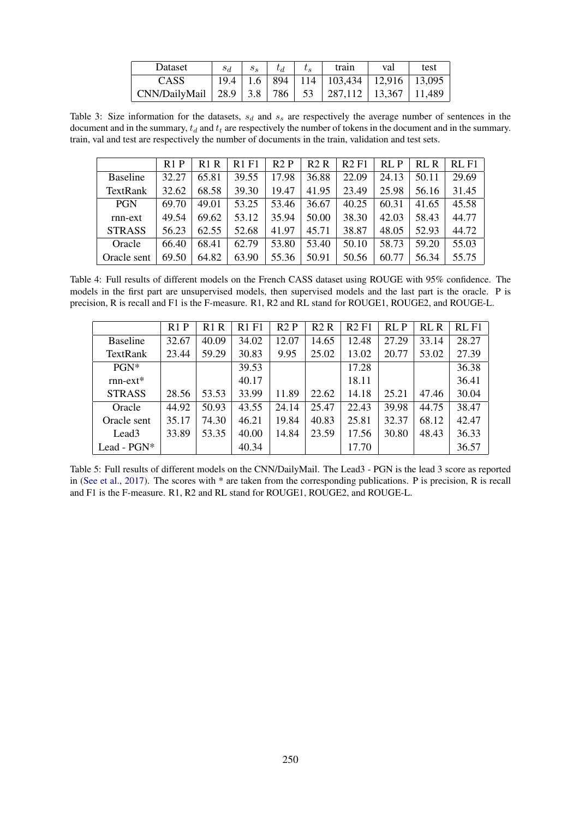| Dataset                                                           | $S_d$ |  | train                                                                          | val | test |
|-------------------------------------------------------------------|-------|--|--------------------------------------------------------------------------------|-----|------|
| <b>CASS</b>                                                       |       |  | $\boxed{19.4 \mid 1.6 \mid 894 \mid 114 \mid 103,434 \mid 12,916 \mid 13,095}$ |     |      |
| CNN/DailyMail   28.9   3.8   786   53   287,112   13,367   11,489 |       |  |                                                                                |     |      |

<span id="page-7-0"></span>Table 3: Size information for the datasets,  $s_d$  and  $s_s$  are respectively the average number of sentences in the document and in the summary,  $t_d$  and  $t_t$  are respectively the number of tokens in the document and in the summary. train, val and test are respectively the number of documents in the train, validation and test sets.

<span id="page-7-1"></span>

| R1P   | R1R   | <b>R1F1</b> | R2P   | R2R   | R2F1  | RI.P  | RL R  | $RI$ . $F1$ |
|-------|-------|-------------|-------|-------|-------|-------|-------|-------------|
| 32.27 | 65.81 | 39.55       | 17.98 | 36.88 | 22.09 | 24.13 | 50.11 | 29.69       |
| 32.62 | 68.58 | 39.30       | 19.47 | 41.95 | 23.49 | 25.98 | 56.16 | 31.45       |
| 69.70 | 49.01 | 53.25       | 53.46 | 36.67 | 40.25 | 60.31 | 41.65 | 45.58       |
| 49.54 | 69.62 | 53.12       | 35.94 | 50.00 | 38.30 | 42.03 | 58.43 | 44.77       |
| 56.23 | 62.55 | 52.68       | 41.97 | 45.71 | 38.87 | 48.05 | 52.93 | 44.72       |
| 66.40 | 68.41 | 62.79       | 53.80 | 53.40 | 50.10 | 58.73 | 59.20 | 55.03       |
| 69.50 | 64.82 | 63.90       | 55.36 | 50.91 | 50.56 | 60.77 | 56.34 | 55.75       |
|       |       |             |       |       |       |       |       |             |

Table 4: Full results of different models on the French CASS dataset using ROUGE with 95% confidence. The models in the first part are unsupervised models, then supervised models and the last part is the oracle. P is precision, R is recall and F1 is the F-measure. R1, R2 and RL stand for ROUGE1, ROUGE2, and ROUGE-L.

<span id="page-7-2"></span>

|                   | R1P   | R <sub>1</sub> R | <b>R1F1</b> | R2P   | R2R   | R2F1  | RL P  | RL R  | RLF1  |
|-------------------|-------|------------------|-------------|-------|-------|-------|-------|-------|-------|
| <b>Baseline</b>   | 32.67 | 40.09            | 34.02       | 12.07 | 14.65 | 12.48 | 27.29 | 33.14 | 28.27 |
| TextRank          | 23.44 | 59.29            | 30.83       | 9.95  | 25.02 | 13.02 | 20.77 | 53.02 | 27.39 |
| $PGN^*$           |       |                  | 39.53       |       |       | 17.28 |       |       | 36.38 |
| $rnn-ext*$        |       |                  | 40.17       |       |       | 18.11 |       |       | 36.41 |
| <b>STRASS</b>     | 28.56 | 53.53            | 33.99       | 11.89 | 22.62 | 14.18 | 25.21 | 47.46 | 30.04 |
| Oracle            | 44.92 | 50.93            | 43.55       | 24.14 | 25.47 | 22.43 | 39.98 | 44.75 | 38.47 |
| Oracle sent       | 35.17 | 74.30            | 46.21       | 19.84 | 40.83 | 25.81 | 32.37 | 68.12 | 42.47 |
| Lead <sub>3</sub> | 33.89 | 53.35            | 40.00       | 14.84 | 23.59 | 17.56 | 30.80 | 48.43 | 36.33 |
| Lead - PGN*       |       |                  | 40.34       |       |       | 17.70 |       |       | 36.57 |

Table 5: Full results of different models on the CNN/DailyMail. The Lead3 - PGN is the lead 3 score as reported in [\(See et al.,](#page-6-1) [2017\)](#page-6-1). The scores with \* are taken from the corresponding publications. P is precision, R is recall and F1 is the F-measure. R1, R2 and RL stand for ROUGE1, ROUGE2, and ROUGE-L.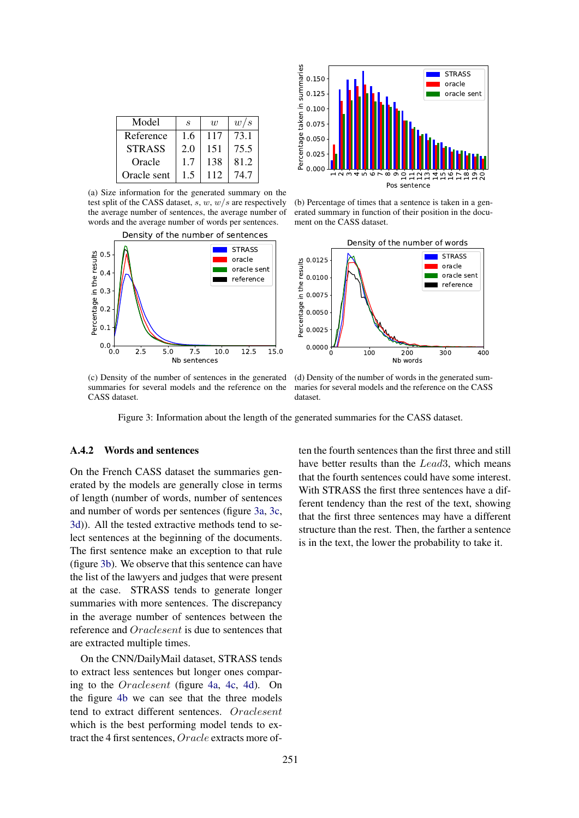<span id="page-8-0"></span>

| Model         | S   | $\overline{u}$ | w/s  |
|---------------|-----|----------------|------|
| Reference     | 1.6 | 117            | 73.1 |
| <b>STRASS</b> | 2.0 | 151            | 75.5 |
| Oracle        | 1.7 | 138            | 81.2 |
| Oracle sent   | 1.5 | 112            | 74.7 |

(a) Size information for the generated summary on the test split of the CASS dataset,  $s, w, w/s$  are respectively the average number of sentences, the average number of words and the average number of words per sentences.





(b) Percentage of times that a sentence is taken in a generated summary in function of their position in the document on the CASS dataset.



(c) Density of the number of sentences in the generated summaries for several models and the reference on the CASS dataset.

(d) Density of the number of words in the generated summaries for several models and the reference on the CASS dataset.

Figure 3: Information about the length of the generated summaries for the CASS dataset.

## <span id="page-8-1"></span>A.4.2 Words and sentences

On the French CASS dataset the summaries generated by the models are generally close in terms of length (number of words, number of sentences and number of words per sentences (figure [3a,](#page-8-0) [3c,](#page-8-0) [3d\)](#page-8-0)). All the tested extractive methods tend to select sentences at the beginning of the documents. The first sentence make an exception to that rule (figure [3b\)](#page-8-0). We observe that this sentence can have the list of the lawyers and judges that were present at the case. STRASS tends to generate longer summaries with more sentences. The discrepancy in the average number of sentences between the reference and Oraclesent is due to sentences that are extracted multiple times.

On the CNN/DailyMail dataset, STRASS tends to extract less sentences but longer ones comparing to the Oraclesent (figure [4a,](#page-9-0) [4c,](#page-9-0) [4d\)](#page-9-0). On the figure [4b](#page-9-0) we can see that the three models tend to extract different sentences. Oraclesent which is the best performing model tends to extract the 4 first sentences, Oracle extracts more often the fourth sentences than the first three and still have better results than the Lead3, which means that the fourth sentences could have some interest. With STRASS the first three sentences have a different tendency than the rest of the text, showing that the first three sentences may have a different structure than the rest. Then, the farther a sentence is in the text, the lower the probability to take it.